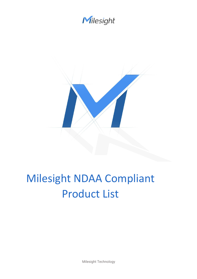



## Milesight NDAA Compliant Product List

Milesight Technology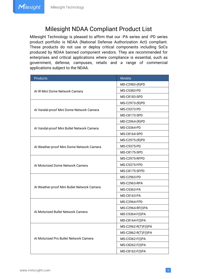Milesight

## Milesight NDAA Compliant Product List

Milesight Technology is pleased to affirm that our -PA series and -PD series product portfolio is NDAA (National Defense Authorization Act) compliant. These products do not use or deploy critical components including SoCs produced by NDAA banned component vendors. They are recommended for enterprises and critical applications where compliance is essential, such as government, defense, campuses, retails and a range of commercial applications subject to the NDAA.

| Products                                    | <b>Models</b>       |
|---------------------------------------------|---------------------|
| Al IR Mini Dome Network Camera              | MS-C2983-(R)PD      |
|                                             | MS-C5383-PD         |
|                                             | MS-C8183-SPD        |
|                                             | MS-C2973-(R)PD      |
| Al Vandal-proof Mini Dome Network Camera    | MS-C5373-PD         |
|                                             | MS-C8173-SPD        |
| Al Vandal-proof Mini Bullet Network Camera  | MS-C2964-(R)PD      |
|                                             | MS-C5364-PD         |
|                                             | MS-C8164-SPD        |
| Al Weather-proof Mini Dome Network Camera   | MS-C2975-(R)PD      |
|                                             | MS-C5375-PD         |
|                                             | MS-C8175-SPD        |
|                                             | MS-C2975-RFPD       |
| Al Motorized Dome Network Camera            | <b>MS-C5375-FPD</b> |
|                                             | MS-C8175-SFPD       |
|                                             | MS-C2963-PD         |
| Al Weather-proof Mini Bullet Network Camera | MS-C2963-RPA        |
|                                             | MS-C5363-PA         |
|                                             | MS-C8163-PA         |
| Al Motorized Bullet Network Camera          | MS-C2964-FPD        |
|                                             | MS-C2964-RF(I)PA    |
|                                             | MS-C5364-F(I)PA     |
|                                             | MS-C8164-F(I)PA     |
| Al Motorized Pro Bullet Network Camera      | MS-C2962-R(T)F(I)PA |
|                                             | MS-C2862-R(T)F(I)PA |
|                                             | MS-C5362-F(I)PA     |
|                                             | MS-C8262-F(I)PA     |
|                                             | MS-C8162-F(I)PA     |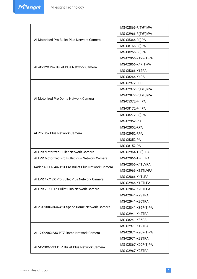| MS-C2866-R(T)F(I)PA<br>MS-C2966-R(T)F(I)PA<br>MS-C5366-F(I)PA<br>MS-C8166-F(I)PA<br>MS-C8266-F(I)PA<br>MS-C2966-X12R(T)PA<br>MS-C2866-X4R(T)PA<br>MS-C5366-X12PA<br>MS-C8266-X4PA<br>MS-C2972-FPD<br>MS-C2972-R(T)F(I)PA<br>MS-C2872-R(T)F(I)PA<br>Al Motorized Pro Dome Network Camera<br>MS-C5372-F(I)PA<br>MS-C8172-F(I)PA<br>MS-C8272-F(I)PA<br>MS-C2952-PD<br><b>MS-C2852-RPA</b><br><b>MS-C2952-RPA</b><br>MS-C5352-PA<br>MS-C8152-PA<br>MS-C2964-TF(I)LPA<br>MS-C2966-TF(I)LPA<br>MS-C2866-X4TLVPA<br>MS-C2966-X12TLVPA<br>MS-C2866-X4TLPA<br>AI LPR 4X/12X Pro Bullet Plus Network Camera<br>MS-C2966-X12TLPA<br>MS-C2867-X20TLPA<br>MS-C2941-X23TPA<br>MS-C2941-X30TPA<br>MS-C2841-X36R(T)PA<br>MS-C2941-X42TPA<br>MS-C8241-X36PA<br>MS-C2971-X12TPA<br>MS-C2871-X20R(T)PA<br>MS-C2971-X23TPA<br>MS-C2867-X20R(T)PA<br>MS-C2967-X23TPA |                                                    |  |
|-------------------------------------------------------------------------------------------------------------------------------------------------------------------------------------------------------------------------------------------------------------------------------------------------------------------------------------------------------------------------------------------------------------------------------------------------------------------------------------------------------------------------------------------------------------------------------------------------------------------------------------------------------------------------------------------------------------------------------------------------------------------------------------------------------------------------------------------------|----------------------------------------------------|--|
|                                                                                                                                                                                                                                                                                                                                                                                                                                                                                                                                                                                                                                                                                                                                                                                                                                                 |                                                    |  |
|                                                                                                                                                                                                                                                                                                                                                                                                                                                                                                                                                                                                                                                                                                                                                                                                                                                 |                                                    |  |
|                                                                                                                                                                                                                                                                                                                                                                                                                                                                                                                                                                                                                                                                                                                                                                                                                                                 | Al Motorized Pro Bullet Plus Network Camera        |  |
|                                                                                                                                                                                                                                                                                                                                                                                                                                                                                                                                                                                                                                                                                                                                                                                                                                                 |                                                    |  |
|                                                                                                                                                                                                                                                                                                                                                                                                                                                                                                                                                                                                                                                                                                                                                                                                                                                 |                                                    |  |
|                                                                                                                                                                                                                                                                                                                                                                                                                                                                                                                                                                                                                                                                                                                                                                                                                                                 |                                                    |  |
|                                                                                                                                                                                                                                                                                                                                                                                                                                                                                                                                                                                                                                                                                                                                                                                                                                                 | AI 4X/12X Pro Bullet Plus Network Camera           |  |
|                                                                                                                                                                                                                                                                                                                                                                                                                                                                                                                                                                                                                                                                                                                                                                                                                                                 |                                                    |  |
|                                                                                                                                                                                                                                                                                                                                                                                                                                                                                                                                                                                                                                                                                                                                                                                                                                                 |                                                    |  |
|                                                                                                                                                                                                                                                                                                                                                                                                                                                                                                                                                                                                                                                                                                                                                                                                                                                 |                                                    |  |
|                                                                                                                                                                                                                                                                                                                                                                                                                                                                                                                                                                                                                                                                                                                                                                                                                                                 |                                                    |  |
|                                                                                                                                                                                                                                                                                                                                                                                                                                                                                                                                                                                                                                                                                                                                                                                                                                                 |                                                    |  |
|                                                                                                                                                                                                                                                                                                                                                                                                                                                                                                                                                                                                                                                                                                                                                                                                                                                 |                                                    |  |
|                                                                                                                                                                                                                                                                                                                                                                                                                                                                                                                                                                                                                                                                                                                                                                                                                                                 |                                                    |  |
|                                                                                                                                                                                                                                                                                                                                                                                                                                                                                                                                                                                                                                                                                                                                                                                                                                                 |                                                    |  |
|                                                                                                                                                                                                                                                                                                                                                                                                                                                                                                                                                                                                                                                                                                                                                                                                                                                 |                                                    |  |
|                                                                                                                                                                                                                                                                                                                                                                                                                                                                                                                                                                                                                                                                                                                                                                                                                                                 |                                                    |  |
|                                                                                                                                                                                                                                                                                                                                                                                                                                                                                                                                                                                                                                                                                                                                                                                                                                                 | Al Pro Box Plus Network Camera                     |  |
|                                                                                                                                                                                                                                                                                                                                                                                                                                                                                                                                                                                                                                                                                                                                                                                                                                                 |                                                    |  |
|                                                                                                                                                                                                                                                                                                                                                                                                                                                                                                                                                                                                                                                                                                                                                                                                                                                 |                                                    |  |
|                                                                                                                                                                                                                                                                                                                                                                                                                                                                                                                                                                                                                                                                                                                                                                                                                                                 | AI LPR Motorized Bullet Network Camera             |  |
|                                                                                                                                                                                                                                                                                                                                                                                                                                                                                                                                                                                                                                                                                                                                                                                                                                                 | AI LPR Motorized Pro Bullet Plus Network Camera    |  |
|                                                                                                                                                                                                                                                                                                                                                                                                                                                                                                                                                                                                                                                                                                                                                                                                                                                 | Radar AI LPR 4X/12X Pro Bullet Plus Network Camera |  |
|                                                                                                                                                                                                                                                                                                                                                                                                                                                                                                                                                                                                                                                                                                                                                                                                                                                 |                                                    |  |
|                                                                                                                                                                                                                                                                                                                                                                                                                                                                                                                                                                                                                                                                                                                                                                                                                                                 |                                                    |  |
|                                                                                                                                                                                                                                                                                                                                                                                                                                                                                                                                                                                                                                                                                                                                                                                                                                                 |                                                    |  |
|                                                                                                                                                                                                                                                                                                                                                                                                                                                                                                                                                                                                                                                                                                                                                                                                                                                 | AI LPR 20X PTZ Bullet Plus Network Camera          |  |
|                                                                                                                                                                                                                                                                                                                                                                                                                                                                                                                                                                                                                                                                                                                                                                                                                                                 | AI 23X/30X/36X/42X Speed Dome Network Camera       |  |
|                                                                                                                                                                                                                                                                                                                                                                                                                                                                                                                                                                                                                                                                                                                                                                                                                                                 |                                                    |  |
|                                                                                                                                                                                                                                                                                                                                                                                                                                                                                                                                                                                                                                                                                                                                                                                                                                                 |                                                    |  |
|                                                                                                                                                                                                                                                                                                                                                                                                                                                                                                                                                                                                                                                                                                                                                                                                                                                 |                                                    |  |
|                                                                                                                                                                                                                                                                                                                                                                                                                                                                                                                                                                                                                                                                                                                                                                                                                                                 |                                                    |  |
|                                                                                                                                                                                                                                                                                                                                                                                                                                                                                                                                                                                                                                                                                                                                                                                                                                                 | AI 12X/20X/23X PTZ Dome Network Camera             |  |
|                                                                                                                                                                                                                                                                                                                                                                                                                                                                                                                                                                                                                                                                                                                                                                                                                                                 |                                                    |  |
|                                                                                                                                                                                                                                                                                                                                                                                                                                                                                                                                                                                                                                                                                                                                                                                                                                                 |                                                    |  |
|                                                                                                                                                                                                                                                                                                                                                                                                                                                                                                                                                                                                                                                                                                                                                                                                                                                 | AI 5X/20X/23X PTZ Bullet Plus Network Camera       |  |
|                                                                                                                                                                                                                                                                                                                                                                                                                                                                                                                                                                                                                                                                                                                                                                                                                                                 |                                                    |  |